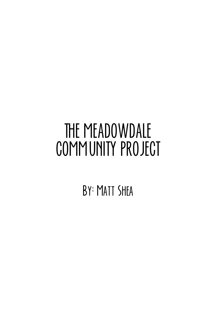# THE MEADOWDALE COMMUNITY PROJECT

BY: MATT SHEA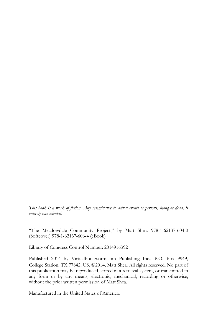*This book is a work of fiction. Any resemblance to actual events or persons, living or dead, is entirely coincidental.* 

"The Meadowdale Community Project," by Matt Shea. 978-1-62137-604-0 (Softcover) 978-1-62137-606-4 (eBook)

Library of Congress Control Number: 2014916392

Published 2014 by Virtualbookworm.com Publishing Inc., P.O. Box 9949, College Station, TX 77842, US. 20014, Matt Shea. All rights reserved. No part of this publication may be reproduced, stored in a retrieval system, or transmitted in any form or by any means, electronic, mechanical, recording or otherwise, without the prior written permission of Matt Shea.

Manufactured in the United States of America.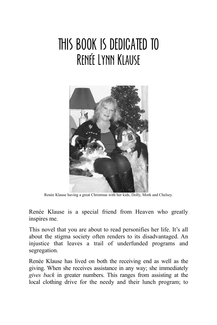### THIS BOOK IS DEDICATED TO **RENÉE LYNN KLAUSE**



Renée Klause having a great Christmas with her kids, Dolly, Mork and Chelsey.

Renée Klause is a special friend from Heaven who greatly inspires me.

This novel that you are about to read personifies her life. It's all about the stigma society often renders to its disadvantaged. An injustice that leaves a trail of underfunded programs and segregation.

Renée Klause has lived on both the receiving end as well as the giving. When she receives assistance in any way; she immediately *gives back* in greater numbers. This ranges from assisting at the local clothing drive for the needy and their lunch program; to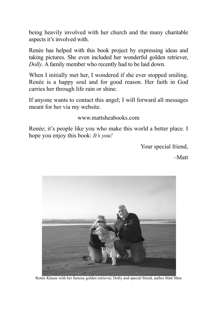being heavily involved with her church and the many charitable aspects it's involved with.

Renée has helped with this book project by expressing ideas and taking pictures. She even included her wonderful golden retriever, *Dolly*. A family member who recently had to be laid down.

When I initially met her, I wondered if she ever stopped smiling. Renée is a happy soul and for good reason. Her faith in God carries her through life rain or shine.

If anyone wants to contact this angel; I will forward all messages meant for her via my website.

### www.mattsheabooks.com

Renée; it's people like you who make this world a better place. I hope you enjoy this book: *It's you!*

Your special friend,

–Matt



Renée Klause with her famous golden retriever, Dolly and special friend, author Matt Shea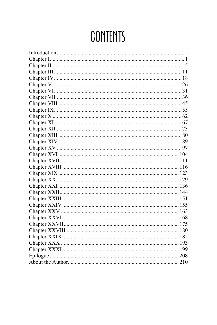# **CONTENTS**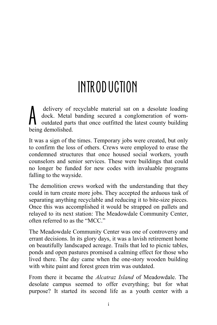# INTRODUCTION

 delivery of recyclable material sat on a desolate loading dock. Metal banding secured a conglomeration of wornoutdated parts that once outfitted the latest county building delivery of r<br>dock. Metal<br>being demolished.

It was a sign of the times. Temporary jobs were created, but only to confirm the loss of others. Crews were employed to erase the condemned structures that once housed social workers, youth counselors and senior services. These were buildings that could no longer be funded for new codes with invaluable programs falling to the wayside.

The demolition crews worked with the understanding that they could in turn create more jobs. They accepted the arduous task of separating anything recyclable and reducing it to bite-size pieces. Once this was accomplished it would be strapped on pallets and relayed to its next station: The Meadowdale Community Center, often referred to as the "MCC."

The Meadowdale Community Center was one of controversy and errant decisions. In its glory days, it was a lavish retirement home on beautifully landscaped acreage. Trails that led to picnic tables, ponds and open pastures promised a calming effect for those who lived there. The day came when the one-story wooden building with white paint and forest green trim was outdated.

From there it became the *Alcatraz Island* of Meadowdale. The desolate campus seemed to offer everything; but for what purpose? It started its second life as a youth center with a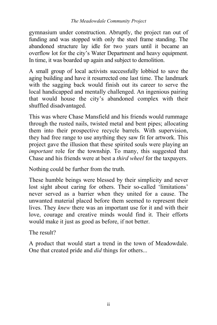gymnasium under construction. Abruptly, the project ran out of funding and was stopped with only the steel frame standing. The abandoned structure lay idle for two years until it became an overflow lot for the city's Water Department and heavy equipment. In time, it was boarded up again and subject to demolition.

A small group of local activists successfully lobbied to save the aging building and have it resurrected one last time. The landmark with the sagging back would finish out its career to serve the local handicapped and mentally challenged. An ingenious pairing that would house the city's abandoned complex with their shuffled disadvantaged.

This was where Chase Mansfield and his friends would rummage through the rusted nails, twisted metal and bent pipes; allocating them into their prospective recycle barrels. With supervision, they had free range to use anything they saw fit for artwork. This project gave the illusion that these spirited souls were playing an *important* role for the township. To many, this suggested that Chase and his friends were at best a *third wheel* for the taxpayers.

Nothing could be further from the truth.

These humble beings were blessed by their simplicity and never lost sight about caring for others. Their so-called 'limitations' never served as a barrier when they united for a cause. The unwanted material placed before them seemed to represent their lives. They *knew* there was an important use for it and with their love, courage and creative minds would find it. Their efforts would make it just as good as before, if not better.

The result?

A product that would start a trend in the town of Meadowdale. One that created pride and *did* things for others...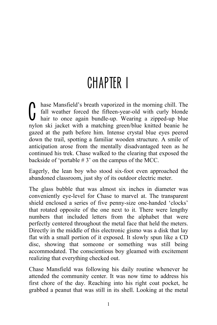### CHAPTER I

hase Mansfield's breath vaporized in the morning chill. The fall weather forced the fifteen-year-old with curly blonde hair to once again bundle-up. Wearing a zipped-up blue fall weather forced the fifteen-year-old with curly blonde hair to once again bundle-up. Wearing a zipped-up blue nylon ski jacket with a matching green/blue knitted beanie he gazed at the path before him. Intense crystal blue eyes peered down the trail, spotting a familiar wooden structure. A smile of anticipation arose from the mentally disadvantaged teen as he continued his trek. Chase walked to the clearing that exposed the backside of 'portable # 3' on the campus of the MCC.

Eagerly, the lean boy who stood six-foot even approached the abandoned classroom, just shy of its outdoor electric meter.

The glass bubble that was almost six inches in diameter was conveniently eye-level for Chase to marvel at. The transparent shield enclosed a series of five penny-size one-handed 'clocks' that rotated opposite of the one next to it. There were lengthy numbers that included letters from the alphabet that were perfectly centered throughout the metal face that held the meters. Directly in the middle of this electronic gismo was a disk that lay flat with a small portion of it exposed. It slowly spun like a CD disc, showing that someone or something was still being accommodated. The conscientious boy gleamed with excitement realizing that everything checked out.

Chase Mansfield was following his daily routine whenever he attended the community center. It was now time to address his first chore of the day. Reaching into his right coat pocket, he grabbed a peanut that was still in its shell. Looking at the metal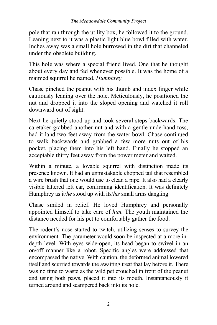pole that ran through the utility box, he followed it to the ground. Leaning next to it was a plastic light blue bowl filled with water. Inches away was a small hole burrowed in the dirt that channeled under the obsolete building.

This hole was where a special friend lived. One that he thought about every day and fed whenever possible. It was the home of a maimed squirrel he named, *Humphrey.*

Chase pinched the peanut with his thumb and index finger while cautiously leaning over the hole. Meticulously, he positioned the nut and dropped it into the sloped opening and watched it roll downward out of sight.

Next he quietly stood up and took several steps backwards. The caretaker grabbed another nut and with a gentle underhand toss, had it land two feet away from the water bowl. Chase continued to walk backwards and grabbed a few more nuts out of his pocket, placing them into his left hand. Finally he stopped an acceptable thirty feet away from the power meter and waited.

Within a minute, a lovable squirrel with distinction made its presence known. It had an unmistakable chopped tail that resembled a wire brush that one would use to clean a pipe. It also had a clearly visible tattered left ear, confirming identification. It was definitely Humphrey as it/*he* stood up with its/*his* small arms dangling.

Chase smiled in relief. He loved Humphrey and personally appointed himself to take care of *him.* The youth maintained the distance needed for his pet to comfortably gather the food.

The rodent's nose started to twitch, utilizing senses to survey the environment. The parameter would soon be inspected at a more indepth level. With eyes wide-open, its head began to swivel in an on/off manner like a robot. Specific angles were addressed that encompassed the native. With caution, the deformed animal lowered itself and scurried towards the awaiting treat that lay before it. There was no time to waste as the wild pet crouched in front of the peanut and using both paws, placed it into its mouth. Instantaneously it turned around and scampered back into its hole.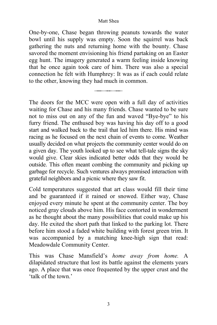#### Matt Shea

One-by-one, Chase began throwing peanuts towards the water bowl until his supply was empty. Soon the squirrel was back gathering the nuts and returning home with the bounty. Chase savored the moment envisioning his friend partaking on an Easter egg hunt. The imagery generated a warm feeling inside knowing that he once again took care of him. There was also a special connection he felt with Humphrey: It was as if each could relate to the other, knowing they had much in common.

———————

The doors for the MCC were open with a full day of activities waiting for Chase and his many friends. Chase wanted to be sure not to miss out on any of the fun and waved "Bye-bye" to his furry friend. The enthused boy was having his day off to a good start and walked back to the trail that led him there. His mind was racing as he focused on the next chain of events to come. Weather usually decided on what projects the community center would do on a given day. The youth looked up to see what tell-tale signs the sky would give. Clear skies indicated better odds that they would be outside. This often meant combing the community and picking up garbage for recycle. Such ventures always promised interaction with grateful neighbors and a picnic where they saw fit.

Cold temperatures suggested that art class would fill their time and be guaranteed if it rained or snowed. Either way, Chase enjoyed every minute he spent at the community center. The boy noticed gray clouds above him. His face contorted in wonderment as he thought about the many possibilities that could make up his day. He exited the short path that linked to the parking lot. There before him stood a faded white building with forest green trim. It was accompanied by a matching knee-high sign that read: Meadowdale Community Center.

This was Chase Mansfield's *home away from home.* A dilapidated structure that lost its battle against the elements years ago. A place that was once frequented by the upper crust and the 'talk of the town.'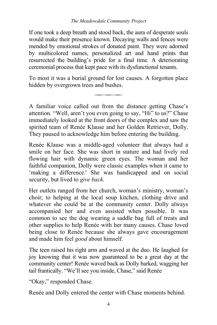If one took a deep breath and stood back, the aura of desperate souls would make their presence known. Decaying walls and fences were mended by emotional strokes of donated paint. They were adorned by multicolored names, personalized art and hand prints that resurrected the building's pride for a final time. A deteriorating ceremonial process that kept pace with its dysfunctional tenants.

To most it was a burial ground for lost causes. A forgotten place hidden by overgrown trees and bushes.

———————

A familiar voice called out from the distance getting Chase's attention. "Well, aren't you even going to say, "Hi" to us?" Chase immediately looked at the front doors of the complex and saw the spirited team of Renée Klause and her Golden Retriever, Dolly. They paused to acknowledge him before entering the building.

Renée Klause was a middle-aged volunteer that always had a smile on her face. She was short in stature and had lively red flowing hair with dynamic green eyes. The woman and her faithful companion, Dolly were classic examples when it came to 'making a difference.' She was handicapped and on social security, but lived to *give back.*

Her outlets ranged from her church, woman's ministry, woman's choir; to helping at the local soup kitchen, clothing drive and whatever she could be at the community center. Dolly always accompanied her and even assisted when possible. It was common to see the dog wearing a saddle bag full of treats and other supplies to help Renée with her many causes. Chase loved being close to Renée because she always gave encouragement and made him feel *good* about himself.

The teen raised his right arm and waved at the duo. He laughed for joy knowing that it was now guaranteed to be a great day at the community center! Renée waved back as Dolly barked, wagging her tail frantically. "We'll see you inside, Chase," said Renée

"Okay," responded Chase.

Renée and Dolly entered the center with Chase moments behind.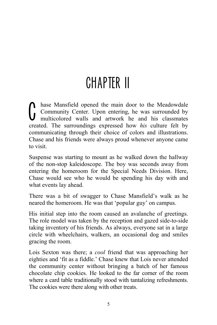# CHAPTER II

hase Mansfield opened the main door to the Meadowdale Community Center. Upon entering, he was surrounded by multicolored walls and artwork he and his classmates hase Mansfield opened the main door to the Meadowdale<br>Community Center. Upon entering, he was surrounded by<br>multicolored walls and artwork he and his classmates<br>created. The surroundings expressed how *his* culture felt by communicating through their choice of colors and illustrations. Chase and his friends were always proud whenever anyone came to visit.

Suspense was starting to mount as he walked down the hallway of the non-stop kaleidoscope. The boy was seconds away from entering the homeroom for the Special Needs Division. Here, Chase would see who he would be spending his day with and what events lay ahead.

There was a bit of swagger to Chase Mansfield's walk as he neared the homeroom. He was that 'popular guy' on campus.

His initial step into the room caused an avalanche of greetings. The role model was taken by the reception and gazed side-to-side taking inventory of his friends. As always, everyone sat in a large circle with wheelchairs, walkers, an occasional dog and smiles gracing the room.

Lois Sexton was there; a *cool* friend that was approaching her eighties and 'fit as a fiddle.' Chase knew that Lois never attended the community center without bringing a batch of her famous chocolate chip cookies. He looked to the far corner of the room where a card table traditionally stood with tantalizing refreshments. The cookies were there along with other treats.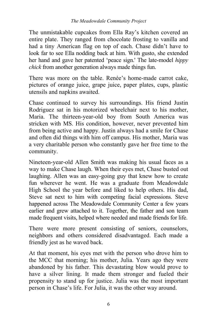The unmistakable cupcakes from Ella Ray's kitchen covered an entire plate. They ranged from chocolate frosting to vanilla and had a tiny American flag on top of each. Chase didn't have to look far to see Ella nodding back at him. With gusto, she extended her hand and gave her patented 'peace sign.' The late-model *hippy chick* from another generation always made things fun.

There was more on the table. Renée's home-made carrot cake, pictures of orange juice, grape juice, paper plates, cups, plastic utensils and napkins awaited.

Chase continued to survey his surroundings. His friend Justin Rodriguez sat in his motorized wheelchair next to his mother, Maria. The thirteen-year-old boy from South America was stricken with MS. His condition, however, never prevented him from being active and happy. Justin always had a smile for Chase and often did things with him off campus. His mother, Maria was a very charitable person who constantly gave her free time to the community.

Nineteen-year-old Allen Smith was making his usual faces as a way to make Chase laugh. When their eyes met, Chase busted out laughing. Allen was an easy-going guy that knew how to create fun wherever he went. He was a graduate from Meadowdale High School the year before and liked to help others. His dad, Steve sat next to him with competing facial expressions. Steve happened across The Meadowdale Community Center a few years earlier and grew attached to it. Together, the father and son team made frequent visits, helped where needed and made friends for life.

There were more present consisting of seniors, counselors, neighbors and others considered disadvantaged. Each made a friendly jest as he waved back.

At that moment, his eyes met with the person who drove him to the MCC that morning; his mother, Julia. Years ago they were abandoned by his father. This devastating blow would prove to have a silver lining. It made them stronger and fueled their propensity to stand up for justice. Julia was the most important person in Chase's life. For Julia, it was the other way around.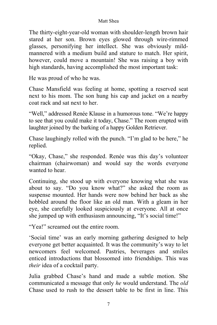### Matt Shea

The thirty-eight-year-old woman with shoulder-length brown hair stared at her son. Brown eyes glowed through wire-rimmed glasses, personifying her intellect. She was obviously mildmannered with a medium build and stature to match. Her spirit, however, could move a mountain! She was raising a boy with high standards, having accomplished the most important task:

He was proud of who he was.

Chase Mansfield was feeling at home, spotting a reserved seat next to his mom. The son hung his cap and jacket on a nearby coat rack and sat next to her.

"Well," addressed Renée Klause in a humorous tone. "We're happy to see that you could make it today, Chase." The room erupted with laughter joined by the barking of a happy Golden Retriever.

Chase laughingly rolled with the punch. "I'm glad to be here," he replied.

"Okay, Chase," she responded. Renée was this day's volunteer chairman (chairwoman) and would say the words everyone wanted to hear.

Continuing, she stood up with everyone knowing what she was about to say. "Do you know what?" she asked the room as suspense mounted. Her hands were now behind her back as she hobbled around the floor like an old man. With a gleam in her eye, she carefully looked suspiciously at everyone. All at once she jumped up with enthusiasm announcing, "It's social time!"

"Yea!" screamed out the entire room.

'Social time' was an early morning gathering designed to help everyone get better acquainted. It was the community's way to let newcomers feel welcomed. Pastries, beverages and smiles enticed introductions that blossomed into friendships. This was *their* idea of a cocktail party.

Julia grabbed Chase's hand and made a subtle motion. She communicated a message that only *he* would understand. The *old* Chase used to rush to the dessert table to be first in line. This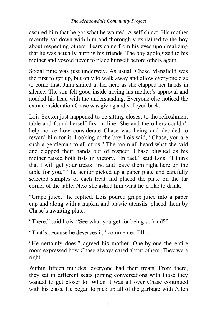assured him that he got what he wanted. A selfish act. His mother recently sat down with him and thoroughly explained to the boy about respecting others. Tears came from his eyes upon realizing that he was actually hurting his friends. The boy apologized to his mother and vowed never to place himself before others again.

Social time was just underway. As usual, Chase Mansfield was the first to get up, but only to walk away and allow everyone else to come first. Julia smiled at her hero as she clapped her hands in silence. The son felt good inside having his mother's approval and nodded his head with the understanding. Everyone else noticed the extra consideration Chase was giving and volleyed back.

Lois Sexton just happened to be sitting closest to the refreshment table and found herself first in line. She and the others couldn't help notice how considerate Chase was being and decided to reward him for it. Looking at the boy Lois said, "Chase, you are such a gentleman to all of us." The room all heard what she said and clapped their hands out of respect. Chase blushed as his mother raised both fists in victory. "In fact," said Lois. "I think that I will get your treats first and leave them right here on the table for you." The senior picked up a paper plate and carefully selected samples of each treat and placed the plate on the far corner of the table. Next she asked him what he'd like to drink.

"Grape juice," he replied. Lois poured grape juice into a paper cup and along with a napkin and plastic utensils, placed them by Chase's awaiting plate.

"There," said Lois. "See what you get for being so kind?"

"That's because he deserves it," commented Ella.

"He certainly does," agreed his mother. One-by-one the entire room expressed how Chase always cared about others. They were right.

Within fifteen minutes, everyone had their treats. From there, they sat in different seats joining conversations with those they wanted to get closer to. When it was all over Chase continued with his class. He began to pick up all of the garbage with Allen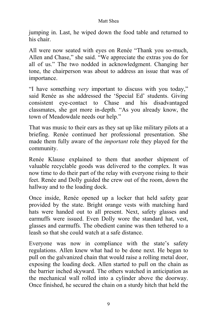### Matt Shea

jumping in. Last, he wiped down the food table and returned to his chair.

All were now seated with eyes on Renée "Thank you so-much, Allen and Chase," she said. "We appreciate the extras you do for all of us." The two nodded in acknowledgment. Changing her tone, the chairperson was about to address an issue that was of importance.

"I have something *very* important to discuss with you today," said Renée as she addressed the 'Special Ed' students. Giving consistent eye-contact to Chase and his disadvantaged classmates, she got more in-depth. "As you already know, the town of Meadowdale needs our help."

That was music to their ears as they sat up like military pilots at a briefing. Renée continued her professional presentation. She made them fully aware of the *important* role they played for the community.

Renée Klause explained to them that another shipment of valuable recyclable goods was delivered to the complex. It was now time to do their part of the relay with everyone rising to their feet. Renée and Dolly guided the crew out of the room, down the hallway and to the loading dock.

Once inside, Renée opened up a locker that held safety gear provided by the state. Bright orange vests with matching hard hats were handed out to all present. Next, safety glasses and earmuffs were issued. Even Dolly wore the standard hat, vest, glasses and earmuffs. The obedient canine was then tethered to a leash so that she could watch at a safe distance.

Everyone was now in compliance with the state's safety regulations. Allen knew what had to be done next. He began to pull on the galvanized chain that would raise a rolling metal door, exposing the loading dock. Allen started to pull on the chain as the barrier inched skyward. The others watched in anticipation as the mechanical wall rolled into a cylinder above the doorway. Once finished, he secured the chain on a sturdy hitch that held the